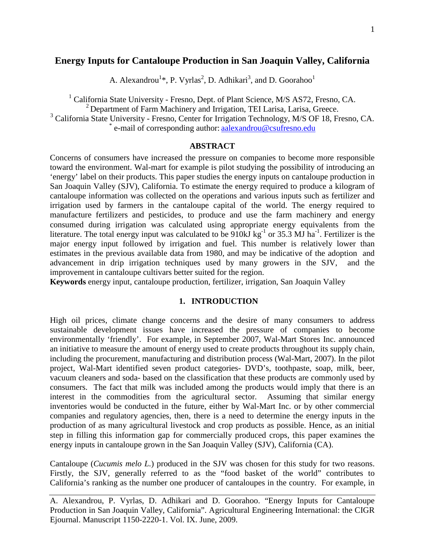## **Energy Inputs for Cantaloupe Production in San Joaquin Valley, California**

A. Alexandrou<sup>1\*</sup>, P. Vyrlas<sup>2</sup>, D. Adhikari<sup>3</sup>, and D. Goorahoo<sup>1</sup>

<sup>1</sup> California State University - Fresno, Dept. of Plant Science, M/S AS72, Fresno, CA. <sup>2</sup> Department of Farm Machinery and Irrigation, TEI Larisa, Larisa, Greece.

<sup>3</sup> California State University - Fresno, Center for Irrigation Technology, M/S OF 18, Fresno, CA.  $*$  e-mail of corresponding author: [aalexandrou@csufresno.edu](mailto:aalexandrou@csufresno.edu)

## **ABSTRACT**

Concerns of consumers have increased the pressure on companies to become more responsible toward the environment. Wal-mart for example is pilot studying the possibility of introducing an 'energy' label on their products. This paper studies the energy inputs on cantaloupe production in San Joaquin Valley (SJV), California. To estimate the energy required to produce a kilogram of cantaloupe information was collected on the operations and various inputs such as fertilizer and irrigation used by farmers in the cantaloupe capital of the world. The energy required to manufacture fertilizers and pesticides, to produce and use the farm machinery and energy consumed during irrigation was calculated using appropriate energy equivalents from the literature. The total energy input was calculated to be  $910 \text{ kJ kg}^{-1}$  or 35.3 MJ ha<sup>-1</sup>. Fertilizer is the major energy input followed by irrigation and fuel. This number is relatively lower than estimates in the previous available data from 1980, and may be indicative of the adoption and advancement in drip irrigation techniques used by many growers in the SJV, and the improvement in cantaloupe cultivars better suited for the region.

**Keywords** energy input, cantaloupe production, fertilizer, irrigation, San Joaquin Valley

## **1. INTRODUCTION**

High oil prices, climate change concerns and the desire of many consumers to address sustainable development issues have increased the pressure of companies to become environmentally 'friendly'. For example, in September 2007, Wal-Mart Stores Inc. announced an initiative to measure the amount of energy used to create products throughout its supply chain, including the procurement, manufacturing and distribution process (Wal-Mart, 2007). In the pilot project, Wal-Mart identified seven product categories- DVD's, toothpaste, soap, milk, beer, vacuum cleaners and soda- based on the classification that these products are commonly used by consumers. The fact that milk was included among the products would imply that there is an interest in the commodities from the agricultural sector. Assuming that similar energy inventories would be conducted in the future, either by Wal-Mart Inc. or by other commercial companies and regulatory agencies, then, there is a need to determine the energy inputs in the production of as many agricultural livestock and crop products as possible. Hence, as an initial step in filling this information gap for commercially produced crops, this paper examines the energy inputs in cantaloupe grown in the San Joaquin Valley (SJV), California (CA).

Cantaloupe (*Cucumis melo L.*) produced in the SJV was chosen for this study for two reasons. Firstly, the SJV, generally referred to as the "food basket of the world" contributes to California's ranking as the number one producer of cantaloupes in the country. For example, in

A. Alexandrou, P. Vyrlas, D. Adhikari and D. Goorahoo. "Energy Inputs for Cantaloupe Production in San Joaquin Valley, California". Agricultural Engineering International: the CIGR Ejournal. Manuscript 1150-2220-1. Vol. IX. June, 2009.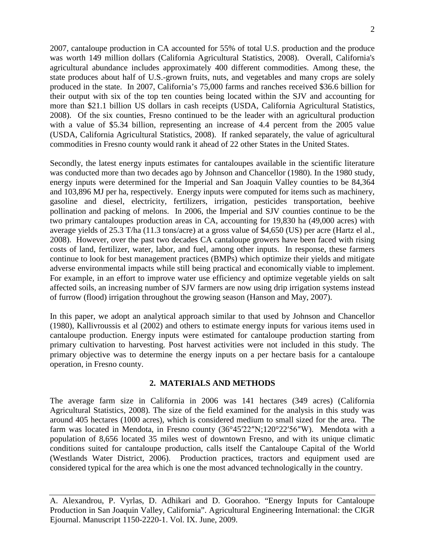2007, cantaloupe production in CA accounted for 55% of total U.S. production and the produce was worth 149 million dollars (California Agricultural Statistics, 2008). Overall, California's agricultural abundance includes approximately 400 different commodities. Among these, the state produces about half of U.S.-grown fruits, nuts, and vegetables and many crops are solely produced in the state. In 2007, California's 75,000 farms and ranches received \$36.6 billion for their output with six of the top ten counties being located within the SJV and accounting for more than \$21.1 billion US dollars in cash receipts (USDA, California Agricultural Statistics, 2008). Of the six counties, Fresno continued to be the leader with an agricultural production with a value of \$5.34 billion, representing an increase of 4.4 percent from the 2005 value (USDA, California Agricultural Statistics, 2008). If ranked separately, the value of agricultural commodities in Fresno county would rank it ahead of 22 other States in the United States.

Secondly, the latest energy inputs estimates for cantaloupes available in the scientific literature was conducted more than two decades ago by Johnson and Chancellor (1980). In the 1980 study, energy inputs were determined for the Imperial and San Joaquin Valley counties to be 84,364 and 103,896 MJ per ha, respectively. Energy inputs were computed for items such as machinery, gasoline and diesel, electricity, fertilizers, irrigation, pesticides transportation, beehive pollination and packing of melons. In 2006, the Imperial and SJV counties continue to be the two primary cantaloupes production areas in CA, accounting for 19,830 ha (49,000 acres) with average yields of 25.3 T/ha (11.3 tons/acre) at a gross value of \$4,650 (US) per acre (Hartz el al., 2008). However, over the past two decades CA cantaloupe growers have been faced with rising costs of land, fertilizer, water, labor, and fuel, among other inputs. In response, these farmers continue to look for best management practices (BMPs) which optimize their yields and mitigate adverse environmental impacts while still being practical and economically viable to implement. For example, in an effort to improve water use efficiency and optimize vegetable yields on salt affected soils, an increasing number of SJV farmers are now using drip irrigation systems instead of furrow (flood) irrigation throughout the growing season (Hanson and May, 2007).

In this paper, we adopt an analytical approach similar to that used by Johnson and Chancellor (1980), Kallivroussis et al (2002) and others to estimate energy inputs for various items used in cantaloupe production. Energy inputs were estimated for cantaloupe production starting from primary cultivation to harvesting. Post harvest activities were not included in this study. The primary objective was to determine the energy inputs on a per hectare basis for a cantaloupe operation, in Fresno county.

### **2. MATERIALS AND METHODS**

The average farm size in California in 2006 was 141 hectares (349 acres) (California Agricultural Statistics, 2008). The size of the field examined for the analysis in this study was around 405 hectares (1000 acres), which is considered medium to small sized for the area. The farm was located in Mendota, in Fresno county (36°45′22″N;120°22′56″W). Mendota with a population of 8,656 located 35 miles west of downtown Fresno, and with its unique climatic conditions suited for cantaloupe production, calls itself the Cantaloupe Capital of the World (Westlands Water District, 2006). Production practices, tractors and equipment used are considered typical for the area which is one the most advanced technologically in the country.

A. Alexandrou, P. Vyrlas, D. Adhikari and D. Goorahoo. "Energy Inputs for Cantaloupe Production in San Joaquin Valley, California". Agricultural Engineering International: the CIGR Ejournal. Manuscript 1150-2220-1. Vol. IX. June, 2009.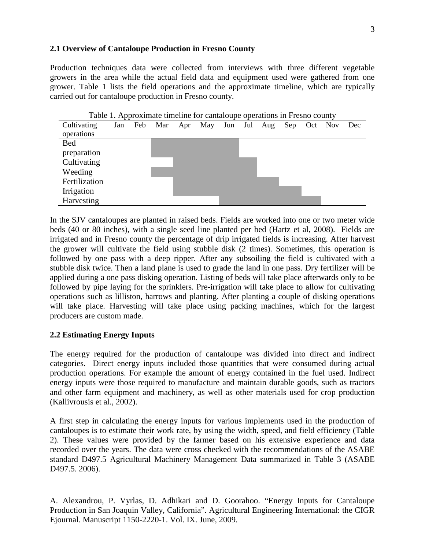# **2.1 Overview of Cantaloupe Production in Fresno County**

Production techniques data were collected from interviews with three different vegetable growers in the area while the actual field data and equipment used were gathered from one grower. Table 1 lists the field operations and the approximate timeline, which are typically carried out for cantaloupe production in Fresno county.



Table 1. Approximate timeline for cantaloupe operations in Fresno county

In the SJV cantaloupes are planted in raised beds. Fields are worked into one or two meter wide beds (40 or 80 inches), with a single seed line planted per bed (Hartz et al, 2008). Fields are irrigated and in Fresno county the percentage of drip irrigated fields is increasing. After harvest the grower will cultivate the field using stubble disk (2 times). Sometimes, this operation is followed by one pass with a deep ripper. After any subsoiling the field is cultivated with a stubble disk twice. Then a land plane is used to grade the land in one pass. Dry fertilizer will be applied during a one pass disking operation. Listing of beds will take place afterwards only to be followed by pipe laying for the sprinklers. Pre-irrigation will take place to allow for cultivating operations such as lilliston, harrows and planting. After planting a couple of disking operations will take place. Harvesting will take place using packing machines, which for the largest producers are custom made.

# **2.2 Estimating Energy Inputs**

The energy required for the production of cantaloupe was divided into direct and indirect categories. Direct energy inputs included those quantities that were consumed during actual production operations. For example the amount of energy contained in the fuel used. Indirect energy inputs were those required to manufacture and maintain durable goods, such as tractors and other farm equipment and machinery, as well as other materials used for crop production (Kallivrousis et al., 2002).

A first step in calculating the energy inputs for various implements used in the production of cantaloupes is to estimate their work rate, by using the width, speed, and field efficiency (Table 2). These values were provided by the farmer based on his extensive experience and data recorded over the years. The data were cross checked with the recommendations of the ASABE standard D497.5 Agricultural Machinery Management Data summarized in Table 3 (ASABE D497.5. 2006).

A. Alexandrou, P. Vyrlas, D. Adhikari and D. Goorahoo. "Energy Inputs for Cantaloupe Production in San Joaquin Valley, California". Agricultural Engineering International: the CIGR Ejournal. Manuscript 1150-2220-1. Vol. IX. June, 2009.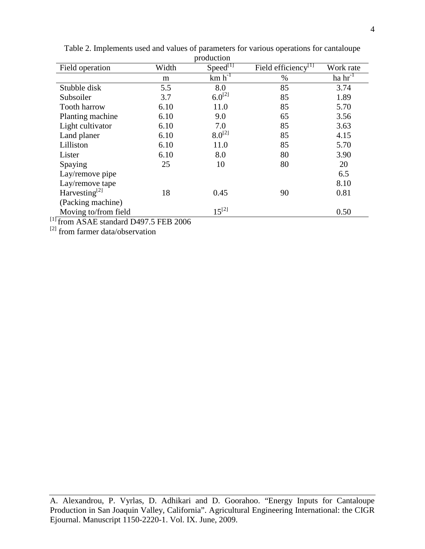|      | proguetion  |                                                           |                                                                                                    |
|------|-------------|-----------------------------------------------------------|----------------------------------------------------------------------------------------------------|
|      |             |                                                           | Work rate                                                                                          |
| m    |             |                                                           | ha $hr^{-1}$                                                                                       |
| 5.5  | 8.0         | 85                                                        | 3.74                                                                                               |
| 3.7  |             | 85                                                        | 1.89                                                                                               |
| 6.10 | 11.0        | 85                                                        | 5.70                                                                                               |
| 6.10 | 9.0         | 65                                                        | 3.56                                                                                               |
| 6.10 | 7.0         | 85                                                        | 3.63                                                                                               |
| 6.10 | $8.0^{[2]}$ | 85                                                        | 4.15                                                                                               |
| 6.10 | 11.0        | 85                                                        | 5.70                                                                                               |
| 6.10 | 8.0         | 80                                                        | 3.90                                                                                               |
| 25   | 10          | 80                                                        | 20                                                                                                 |
|      |             |                                                           | 6.5                                                                                                |
|      |             |                                                           | 8.10                                                                                               |
| 18   | 0.45        | 90                                                        | 0.81                                                                                               |
|      |             |                                                           |                                                                                                    |
|      |             |                                                           | 0.50                                                                                               |
|      | Width       | $Speed^{[1]}$<br>$km h^{-1}$<br>$6.0^{[2]}$<br>$15^{[2]}$ | Field efficiency <sup>[1]</sup><br>$\%$<br>$1.5 \pm 0.7$ $\pm$ $\overline{1000}$ $\overline{2005}$ |

Table 2. Implements used and values of parameters for various operations for cantaloupe production

 $^{[1]}$  from ASAE standard D497.5 FEB 2006

[2] from farmer data/observation

A. Alexandrou, P. Vyrlas, D. Adhikari and D. Goorahoo. "Energy Inputs for Cantaloupe Production in San Joaquin Valley, California". Agricultural Engineering International: the CIGR Ejournal. Manuscript 1150-2220-1. Vol. IX. June, 2009.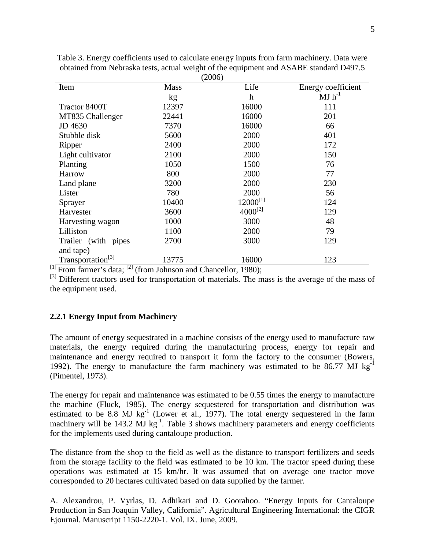|                               |             | $\omega$         |                    |
|-------------------------------|-------------|------------------|--------------------|
| Item                          | <b>Mass</b> | Life             | Energy coefficient |
|                               | kg          | $\boldsymbol{h}$ | $MJ$ $h^{-1}$      |
| Tractor 8400T                 | 12397       | 16000            | 111                |
| MT835 Challenger              | 22441       | 16000            | 201                |
| JD 4630                       | 7370        | 16000            | 66                 |
| Stubble disk                  | 5600        | 2000             | 401                |
| Ripper                        | 2400        | 2000             | 172                |
| Light cultivator              | 2100        | 2000             | 150                |
| Planting                      | 1050        | 1500             | 76                 |
| Harrow                        | 800         | 2000             | 77                 |
| Land plane                    | 3200        | 2000             | 230                |
| Lister                        | 780         | 2000             | 56                 |
| Sprayer                       | 10400       | $12000^{[1]}$    | 124                |
| Harvester                     | 3600        | $4000^{[2]}$     | 129                |
| Harvesting wagon              | 1000        | 3000             | 48                 |
| Lilliston                     | 1100        | 2000             | 79                 |
| Trailer (with pipes           | 2700        | 3000             | 129                |
| and tape)                     |             |                  |                    |
| Transportation <sup>[3]</sup> | 13775       | 16000            | 123                |

Table 3. Energy coefficients used to calculate energy inputs from farm machinery. Data were obtained from Nebraska tests, actual weight of the equipment and ASABE standard D497.5  $(2006)$ 

 $[1]$  From farmer's data;  $[2]$  (from Johnson and Chancellor, 1980);

<sup>[3]</sup> Different tractors used for transportation of materials. The mass is the average of the mass of the equipment used.

## **2.2.1 Energy Input from Machinery**

The amount of energy sequestrated in a machine consists of the energy used to manufacture raw materials, the energy required during the manufacturing process, energy for repair and maintenance and energy required to transport it form the factory to the consumer (Bowers, 1992). The energy to manufacture the farm machinery was estimated to be  $86.77 \text{ MJ kg}^{-1}$ (Pimentel, 1973).

The energy for repair and maintenance was estimated to be 0.55 times the energy to manufacture the machine (Fluck, 1985). The energy sequestered for transportation and distribution was estimated to be 8.8 MJ  $kg^{-1}$  (Lower et al., 1977). The total energy sequestered in the farm machinery will be  $143.2$  MJ kg<sup>-1</sup>. Table 3 shows machinery parameters and energy coefficients for the implements used during cantaloupe production.

The distance from the shop to the field as well as the distance to transport fertilizers and seeds from the storage facility to the field was estimated to be 10 km. The tractor speed during these operations was estimated at 15 km/hr. It was assumed that on average one tractor move corresponded to 20 hectares cultivated based on data supplied by the farmer.

A. Alexandrou, P. Vyrlas, D. Adhikari and D. Goorahoo. "Energy Inputs for Cantaloupe Production in San Joaquin Valley, California". Agricultural Engineering International: the CIGR Ejournal. Manuscript 1150-2220-1. Vol. IX. June, 2009.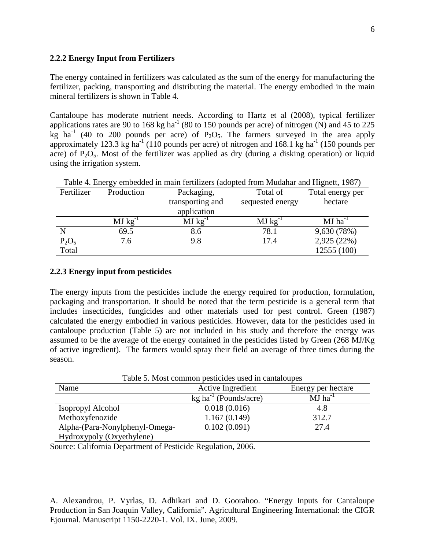### **2.2.2 Energy Input from Fertilizers**

The energy contained in fertilizers was calculated as the sum of the energy for manufacturing the fertilizer, packing, transporting and distributing the material. The energy embodied in the main mineral fertilizers is shown in Table 4.

Cantaloupe has moderate nutrient needs. According to Hartz et al (2008), typical fertilizer applications rates are 90 to 168 kg ha<sup>-1</sup> (80 to 150 pounds per acre) of nitrogen (N) and 45 to 225 kg ha<sup>-1</sup> (40 to 200 pounds per acre) of  $P_2O_5$ . The farmers surveyed in the area apply approximately 123.3 kg ha<sup>-1</sup> (110 pounds per acre) of nitrogen and 168.1 kg ha<sup>-1</sup> (150 pounds per acre) of  $P_2O_5$ . Most of the fertilizer was applied as dry (during a disking operation) or liquid using the irrigation system.

| Table 4. Energy embedded in main fertilizers (adopted from Mudahar and Hignett, 1987) |              |                  |              |                       |  |  |  |  |
|---------------------------------------------------------------------------------------|--------------|------------------|--------------|-----------------------|--|--|--|--|
| Fertilizer                                                                            | Production   | Packaging,       | Total of     |                       |  |  |  |  |
| transporting and                                                                      |              | sequested energy | hectare      |                       |  |  |  |  |
|                                                                                       | application  |                  |              |                       |  |  |  |  |
|                                                                                       | $MJ kg^{-1}$ | $MJ kg^{-1}$     | $MJ kg^{-1}$ | $MJ$ ha <sup>-1</sup> |  |  |  |  |
|                                                                                       | 69.5         | 8.6              | 78.1         | 9,630 (78%)           |  |  |  |  |
| $P_2O_5$                                                                              | 7.6          | 9.8              | 17.4         | 2,925 (22%)           |  |  |  |  |
| Total                                                                                 |              |                  |              | 12555 (100)           |  |  |  |  |

### **2.2.3 Energy input from pesticides**

The energy inputs from the pesticides include the energy required for production, formulation, packaging and transportation. It should be noted that the term pesticide is a general term that includes insecticides, fungicides and other materials used for pest control. Green (1987) calculated the energy embodied in various pesticides. However, data for the pesticides used in cantaloupe production (Table 5) are not included in his study and therefore the energy was assumed to be the average of the energy contained in the pesticides listed by Green (268 MJ/Kg of active ingredient). The farmers would spray their field an average of three times during the season.

Table 5. Most common pesticides used in cantaloupes

| Name                           | Active Ingredient                   | Energy per hectare    |
|--------------------------------|-------------------------------------|-----------------------|
|                                | $kg$ ha <sup>-1</sup> (Pounds/acre) | $MJ$ ha <sup>-1</sup> |
| Isopropyl Alcohol              | 0.018(0.016)                        | 4.8                   |
| Methoxyfenozide                | 1.167(0.149)                        | 312.7                 |
| Alpha-(Para-Nonylphenyl-Omega- | 0.102(0.091)                        | 27.4                  |
| Hydroxypoly (Oxyethylene)      |                                     |                       |

Source: California Department of Pesticide Regulation, 2006.

A. Alexandrou, P. Vyrlas, D. Adhikari and D. Goorahoo. "Energy Inputs for Cantaloupe Production in San Joaquin Valley, California". Agricultural Engineering International: the CIGR Ejournal. Manuscript 1150-2220-1. Vol. IX. June, 2009.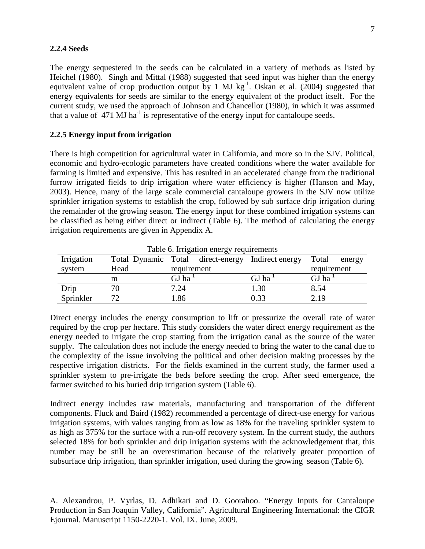#### **2.2.4 Seeds**

The energy sequestered in the seeds can be calculated in a variety of methods as listed by Heichel (1980). Singh and Mittal (1988) suggested that seed input was higher than the energy equivalent value of crop production output by 1 MJ  $\text{kg}^{-1}$ . Oskan et al. (2004) suggested that energy equivalents for seeds are similar to the energy equivalent of the product itself. For the current study, we used the approach of Johnson and Chancellor (1980), in which it was assumed that a value of  $471 \text{ MJ}$  ha<sup>-1</sup> is representative of the energy input for cantaloupe seeds.

### **2.2.5 Energy input from irrigation**

There is high competition for agricultural water in California, and more so in the SJV. Political, economic and hydro-ecologic parameters have created conditions where the water available for farming is limited and expensive. This has resulted in an accelerated change from the traditional furrow irrigated fields to drip irrigation where water efficiency is higher (Hanson and May, 2003). Hence, many of the large scale commercial cantaloupe growers in the SJV now utilize sprinkler irrigation systems to establish the crop, followed by sub surface drip irrigation during the remainder of the growing season. The energy input for these combined irrigation systems can be classified as being either direct or indirect (Table 6). The method of calculating the energy irrigation requirements are given in Appendix A.

| Table 6. Impactor effect by requirements |      |                       |                                                   |                       |  |  |  |  |
|------------------------------------------|------|-----------------------|---------------------------------------------------|-----------------------|--|--|--|--|
| Irrigation                               |      |                       | Total Dynamic Total direct-energy Indirect energy | Total<br>energy       |  |  |  |  |
| system                                   | Head | requirement           |                                                   |                       |  |  |  |  |
|                                          | m    | $GJ$ ha <sup>-1</sup> | $GJ$ ha <sup>-1</sup>                             | $GJ$ ha <sup>-1</sup> |  |  |  |  |
| Drip                                     |      | 7.24                  | 1.30                                              | 8.54                  |  |  |  |  |
| Sprinkler                                | 72   | l.86                  | 0.33                                              | 2.19                  |  |  |  |  |

Table 6. Irrigation energy requirements

Direct energy includes the energy consumption to lift or pressurize the overall rate of water required by the crop per hectare. This study considers the water direct energy requirement as the energy needed to irrigate the crop starting from the irrigation canal as the source of the water supply. The calculation does not include the energy needed to bring the water to the canal due to the complexity of the issue involving the political and other decision making processes by the respective irrigation districts. For the fields examined in the current study, the farmer used a sprinkler system to pre-irrigate the beds before seeding the crop. After seed emergence, the farmer switched to his buried drip irrigation system (Table 6).

Indirect energy includes raw materials, manufacturing and transportation of the different components. Fluck and Baird (1982) recommended a percentage of direct-use energy for various irrigation systems, with values ranging from as low as 18% for the traveling sprinkler system to as high as 375% for the surface with a run-off recovery system. In the current study, the authors selected 18% for both sprinkler and drip irrigation systems with the acknowledgement that, this number may be still be an overestimation because of the relatively greater proportion of subsurface drip irrigation, than sprinkler irrigation, used during the growing season (Table 6).

A. Alexandrou, P. Vyrlas, D. Adhikari and D. Goorahoo. "Energy Inputs for Cantaloupe Production in San Joaquin Valley, California". Agricultural Engineering International: the CIGR Ejournal. Manuscript 1150-2220-1. Vol. IX. June, 2009.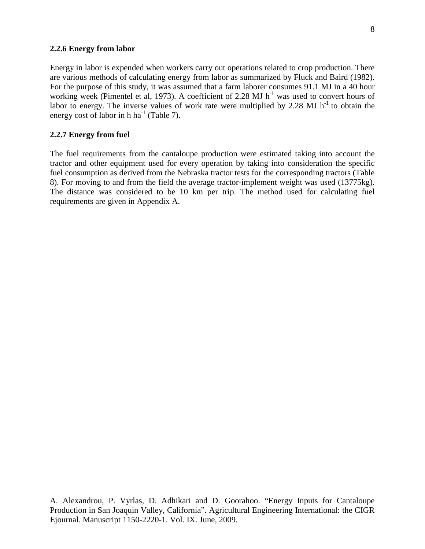#### **2.2.6 Energy from labor**

Energy in labor is expended when workers carry out operations related to crop production. There are various methods of calculating energy from labor as summarized by Fluck and Baird (1982). For the purpose of this study, it was assumed that a farm laborer consumes 91.1 MJ in a 40 hour working week (Pimentel et al, 1973). A coefficient of 2.28 MJ  $h^{-1}$  was used to convert hours of labor to energy. The inverse values of work rate were multiplied by 2.28 MJ  $h^{-1}$  to obtain the energy cost of labor in h ha<sup>-1</sup> (Table 7).

## **2.2.7 Energy from fuel**

The fuel requirements from the cantaloupe production were estimated taking into account the tractor and other equipment used for every operation by taking into consideration the specific fuel consumption as derived from the Nebraska tractor tests for the corresponding tractors (Table 8). For moving to and from the field the average tractor-implement weight was used (13775kg). The distance was considered to be 10 km per trip. The method used for calculating fuel requirements are given in Appendix A.

A. Alexandrou, P. Vyrlas, D. Adhikari and D. Goorahoo. "Energy Inputs for Cantaloupe Production in San Joaquin Valley, California". Agricultural Engineering International: the CIGR Ejournal. Manuscript 1150-2220-1. Vol. IX. June, 2009.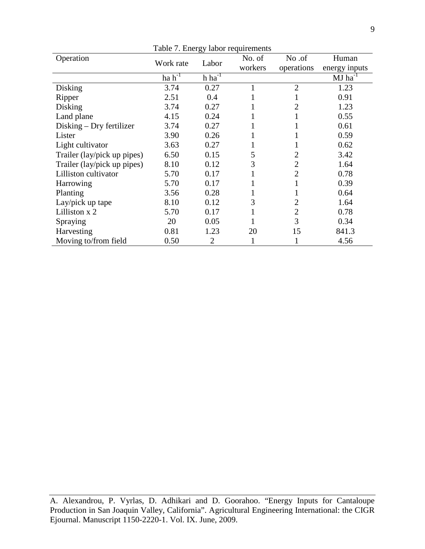| Table 7. Energy labor requirements |             |                |        |                |               |  |  |
|------------------------------------|-------------|----------------|--------|----------------|---------------|--|--|
| Operation                          | Work rate   | Labor          | No. of | No.of          | Human         |  |  |
|                                    |             | workers        |        | operations     | energy inputs |  |  |
|                                    | $ha h^{-1}$ | $h \, ha^{-1}$ |        |                | $MJ ha^{-1}$  |  |  |
| Disking                            | 3.74        | 0.27           | 1      | $\overline{2}$ | 1.23          |  |  |
| Ripper                             | 2.51        | 0.4            |        |                | 0.91          |  |  |
| Disking                            | 3.74        | 0.27           |        | 2              | 1.23          |  |  |
| Land plane                         | 4.15        | 0.24           |        |                | 0.55          |  |  |
| $Disking - Dry fertilizer$         | 3.74        | 0.27           |        |                | 0.61          |  |  |
| Lister                             | 3.90        | 0.26           |        |                | 0.59          |  |  |
| Light cultivator                   | 3.63        | 0.27           |        |                | 0.62          |  |  |
| Trailer (lay/pick up pipes)        | 6.50        | 0.15           | 5      | 2              | 3.42          |  |  |
| Trailer (lay/pick up pipes)        | 8.10        | 0.12           | 3      | $\overline{2}$ | 1.64          |  |  |
| Lilliston cultivator               | 5.70        | 0.17           |        | $\overline{2}$ | 0.78          |  |  |
| Harrowing                          | 5.70        | 0.17           |        |                | 0.39          |  |  |
| Planting                           | 3.56        | 0.28           |        |                | 0.64          |  |  |
| Lay/pick up tape                   | 8.10        | 0.12           | 3      | $\overline{2}$ | 1.64          |  |  |
| Lilliston x 2                      | 5.70        | 0.17           |        | $\overline{2}$ | 0.78          |  |  |
| Spraying                           | 20          | 0.05           |        | 3              | 0.34          |  |  |
| Harvesting                         | 0.81        | 1.23           | 20     | 15             | 841.3         |  |  |
| Moving to/from field               | 0.50        | $\overline{2}$ |        |                | 4.56          |  |  |

A. Alexandrou, P. Vyrlas, D. Adhikari and D. Goorahoo. "Energy Inputs for Cantaloupe Production in San Joaquin Valley, California". Agricultural Engineering International: the CIGR Ejournal. Manuscript 1150-2220-1. Vol. IX. June, 2009.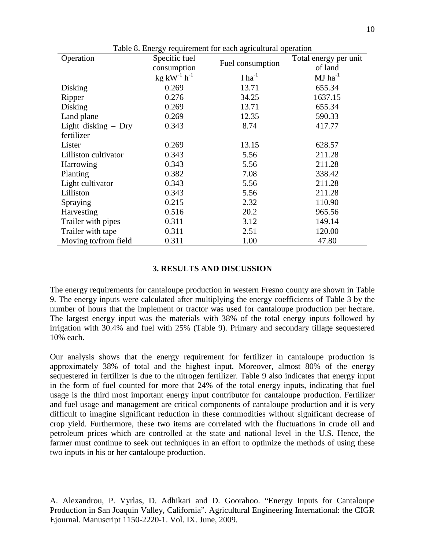| Operation             | Specific fuel                         | ruore of Energy requirement for each agricultural operation | Total energy per unit |
|-----------------------|---------------------------------------|-------------------------------------------------------------|-----------------------|
|                       | consumption                           | Fuel consumption                                            | of land               |
|                       | $kg$ kW <sup>-1</sup> h <sup>-1</sup> | $1 ha^{-1}$                                                 | $MJ$ ha <sup>-1</sup> |
| Disking               | 0.269                                 | 13.71                                                       | 655.34                |
| Ripper                | 0.276                                 | 34.25                                                       | 1637.15               |
| Disking               | 0.269                                 | 13.71                                                       | 655.34                |
| Land plane            | 0.269                                 | 12.35                                                       | 590.33                |
| Light disking $-$ Dry | 0.343                                 | 8.74                                                        | 417.77                |
| fertilizer            |                                       |                                                             |                       |
| Lister                | 0.269                                 | 13.15                                                       | 628.57                |
| Lilliston cultivator  | 0.343                                 | 5.56                                                        | 211.28                |
| Harrowing             | 0.343                                 | 5.56                                                        | 211.28                |
| Planting              | 0.382                                 | 7.08                                                        | 338.42                |
| Light cultivator      | 0.343                                 | 5.56                                                        | 211.28                |
| Lilliston             | 0.343                                 | 5.56                                                        | 211.28                |
| Spraying              | 0.215                                 | 2.32                                                        | 110.90                |
| Harvesting            | 0.516                                 | 20.2                                                        | 965.56                |
| Trailer with pipes    | 0.311                                 | 3.12                                                        | 149.14                |
| Trailer with tape     | 0.311                                 | 2.51                                                        | 120.00                |
| Moving to/from field  | 0.311                                 | 1.00                                                        | 47.80                 |

Table 8. Energy requirement for each agricultural operation

### **3. RESULTS AND DISCUSSION**

The energy requirements for cantaloupe production in western Fresno county are shown in Table 9. The energy inputs were calculated after multiplying the energy coefficients of Table 3 by the number of hours that the implement or tractor was used for cantaloupe production per hectare. The largest energy input was the materials with 38% of the total energy inputs followed by irrigation with 30.4% and fuel with 25% (Table 9). Primary and secondary tillage sequestered 10% each.

Our analysis shows that the energy requirement for fertilizer in cantaloupe production is approximately 38% of total and the highest input. Moreover, almost 80% of the energy sequestered in fertilizer is due to the nitrogen fertilizer. Table 9 also indicates that energy input in the form of fuel counted for more that 24% of the total energy inputs, indicating that fuel usage is the third most important energy input contributor for cantaloupe production. Fertilizer and fuel usage and management are critical components of cantaloupe production and it is very difficult to imagine significant reduction in these commodities without significant decrease of crop yield. Furthermore, these two items are correlated with the fluctuations in crude oil and petroleum prices which are controlled at the state and national level in the U.S. Hence, the farmer must continue to seek out techniques in an effort to optimize the methods of using these two inputs in his or her cantaloupe production.

A. Alexandrou, P. Vyrlas, D. Adhikari and D. Goorahoo. "Energy Inputs for Cantaloupe Production in San Joaquin Valley, California". Agricultural Engineering International: the CIGR Ejournal. Manuscript 1150-2220-1. Vol. IX. June, 2009.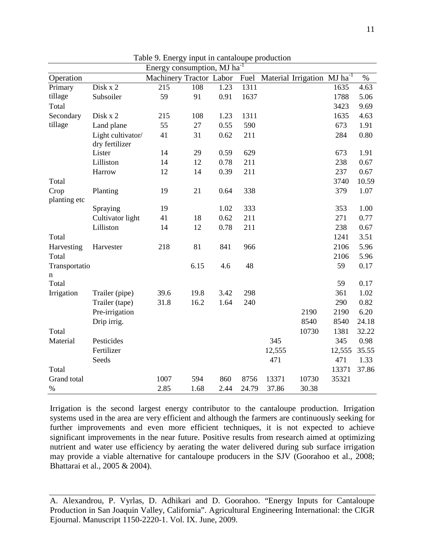| Energy consumption, MJ ha <sup>-1</sup> |                                     |                         |      |      |       |        |                                         |        |       |
|-----------------------------------------|-------------------------------------|-------------------------|------|------|-------|--------|-----------------------------------------|--------|-------|
| Operation                               |                                     | Machinery Tractor Labor |      |      | Fuel  |        | Material Irrigation MJ ha <sup>-1</sup> |        | $\%$  |
| Primary                                 | Disk x 2                            | 215                     | 108  | 1.23 | 1311  |        |                                         | 1635   | 4.63  |
| tillage                                 | Subsoiler                           | 59                      | 91   | 0.91 | 1637  |        |                                         | 1788   | 5.06  |
| Total                                   |                                     |                         |      |      |       |        |                                         | 3423   | 9.69  |
| Secondary                               | Disk x 2                            | 215                     | 108  | 1.23 | 1311  |        |                                         | 1635   | 4.63  |
| tillage                                 | Land plane                          | 55                      | 27   | 0.55 | 590   |        |                                         | 673    | 1.91  |
|                                         | Light cultivator/<br>dry fertilizer | 41                      | 31   | 0.62 | 211   |        |                                         | 284    | 0.80  |
|                                         | Lister                              | 14                      | 29   | 0.59 | 629   |        |                                         | 673    | 1.91  |
|                                         | Lilliston                           | 14                      | 12   | 0.78 | 211   |        |                                         | 238    | 0.67  |
|                                         | Harrow                              | 12                      | 14   | 0.39 | 211   |        |                                         | 237    | 0.67  |
| Total                                   |                                     |                         |      |      |       |        |                                         | 3740   | 10.59 |
| Crop<br>planting etc                    | Planting                            | 19                      | 21   | 0.64 | 338   |        |                                         | 379    | 1.07  |
|                                         | Spraying                            | 19                      |      | 1.02 | 333   |        |                                         | 353    | 1.00  |
|                                         | Cultivator light                    | 41                      | 18   | 0.62 | 211   |        |                                         | 271    | 0.77  |
|                                         | Lilliston                           | 14                      | 12   | 0.78 | 211   |        |                                         | 238    | 0.67  |
| Total                                   |                                     |                         |      |      |       |        |                                         | 1241   | 3.51  |
| Harvesting                              | Harvester                           | 218                     | 81   | 841  | 966   |        |                                         | 2106   | 5.96  |
| Total                                   |                                     |                         |      |      |       |        |                                         | 2106   | 5.96  |
| Transportatio                           |                                     |                         | 6.15 | 4.6  | 48    |        |                                         | 59     | 0.17  |
| n                                       |                                     |                         |      |      |       |        |                                         |        |       |
| Total                                   |                                     |                         |      |      |       |        |                                         | 59     | 0.17  |
| Irrigation                              | Trailer (pipe)                      | 39.6                    | 19.8 | 3.42 | 298   |        |                                         | 361    | 1.02  |
|                                         | Trailer (tape)                      | 31.8                    | 16.2 | 1.64 | 240   |        |                                         | 290    | 0.82  |
|                                         | Pre-irrigation                      |                         |      |      |       |        | 2190                                    | 2190   | 6.20  |
|                                         | Drip irrig.                         |                         |      |      |       |        | 8540                                    | 8540   | 24.18 |
| Total                                   |                                     |                         |      |      |       |        | 10730                                   | 1381   | 32.22 |
| Material                                | Pesticides                          |                         |      |      |       | 345    |                                         | 345    | 0.98  |
|                                         | Fertilizer                          |                         |      |      |       | 12,555 |                                         | 12,555 | 35.55 |
|                                         | Seeds                               |                         |      |      |       | 471    |                                         | 471    | 1.33  |
| Total                                   |                                     |                         |      |      |       |        |                                         | 13371  | 37.86 |
| Grand total                             |                                     | 1007                    | 594  | 860  | 8756  | 13371  | 10730                                   | 35321  |       |
| $\%$                                    |                                     | 2.85                    | 1.68 | 2.44 | 24.79 | 37.86  | 30.38                                   |        |       |

Table 9. Energy input in cantaloupe production

Irrigation is the second largest energy contributor to the cantaloupe production. Irrigation systems used in the area are very efficient and although the farmers are continuously seeking for further improvements and even more efficient techniques, it is not expected to achieve significant improvements in the near future. Positive results from research aimed at optimizing nutrient and water use efficiency by aerating the water delivered during sub surface irrigation may provide a viable alternative for cantaloupe producers in the SJV (Goorahoo et al., 2008; Bhattarai et al., 2005 & 2004).

A. Alexandrou, P. Vyrlas, D. Adhikari and D. Goorahoo. "Energy Inputs for Cantaloupe Production in San Joaquin Valley, California". Agricultural Engineering International: the CIGR Ejournal. Manuscript 1150-2220-1. Vol. IX. June, 2009.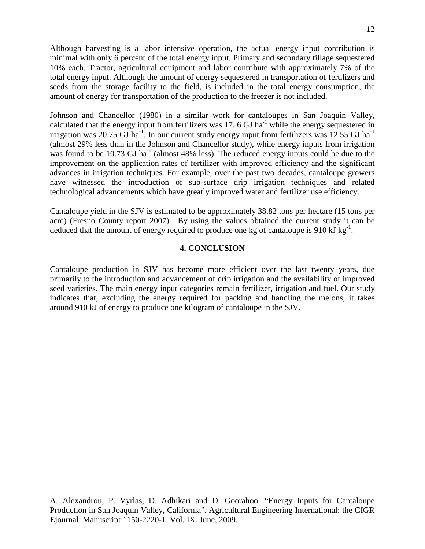Although harvesting is a labor intensive operation, the actual energy input contribution is minimal with only 6 percent of the total energy input. Primary and secondary tillage sequestered 10% each. Tractor, agricultural equipment and labor contribute with approximately 7% of the total energy input. Although the amount of energy sequestered in transportation of fertilizers and seeds from the storage facility to the field, is included in the total energy consumption, the amount of energy for transportation of the production to the freezer is not included.

Johnson and Chancellor (1980) in a similar work for cantaloupes in San Joaquin Valley, calculated that the energy input from fertilizers was 17. 6 GJ ha<sup>-1</sup> while the energy sequestered in irrigation was 20.75 GJ ha<sup>-1</sup>. In our current study energy input from fertilizers was 12.55 GJ ha<sup>-1</sup> (almost 29% less than in the Johnson and Chancellor study), while energy inputs from irrigation was found to be 10.73 GJ ha<sup>-1</sup> (almost 48% less). The reduced energy inputs could be due to the improvement on the application rates of fertilizer with improved efficiency and the significant advances in irrigation techniques. For example, over the past two decades, cantaloupe growers have witnessed the introduction of sub-surface drip irrigation techniques and related technological advancements which have greatly improved water and fertilizer use efficiency.

Cantaloupe yield in the SJV is estimated to be approximately 38.82 tons per hectare (15 tons per acre) (Fresno County report 2007). By using the values obtained the current study it can be deduced that the amount of energy required to produce one kg of cantaloupe is 910 kJ kg<sup>-1</sup>.

## **4. CONCLUSION**

Cantaloupe production in SJV has become more efficient over the last twenty years, due primarily to the introduction and advancement of drip irrigation and the availability of improved seed varieties. The main energy input categories remain fertilizer, irrigation and fuel. Our study indicates that, excluding the energy required for packing and handling the melons, it takes around 910 kJ of energy to produce one kilogram of cantaloupe in the SJV.

A. Alexandrou, P. Vyrlas, D. Adhikari and D. Goorahoo. "Energy Inputs for Cantaloupe Production in San Joaquin Valley, California". Agricultural Engineering International: the CIGR Ejournal. Manuscript 1150-2220-1. Vol. IX. June, 2009.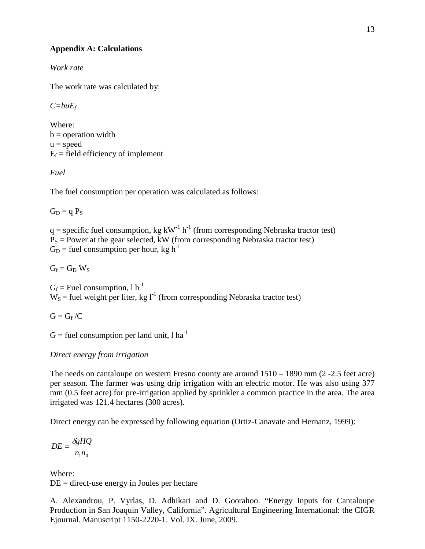# **Appendix A: Calculations**

*Work rate*

The work rate was calculated by:

*C=buEf*

Where:  $b =$  operation width  $u = speed$  $E_f$  = field efficiency of implement

*Fuel*

The fuel consumption per operation was calculated as follows:

 $G_D = q P_S$ 

 $q =$  specific fuel consumption, kg kW<sup>-1</sup> h<sup>-1</sup> (from corresponding Nebraska tractor test)  $P<sub>S</sub>$  = Power at the gear selected, kW (from corresponding Nebraska tractor test)  $G_D$  = fuel consumption per hour, kg h<sup>-1</sup>

 $G_f = G_D W_S$ 

 $G_f$  = Fuel consumption, 1 h<sup>-1</sup>  $W_s$  = fuel weight per liter, kg l<sup>-1</sup> (from corresponding Nebraska tractor test)

 $G = G_f / C$ 

 $G$  = fuel consumption per land unit, l ha<sup>-1</sup>

# *Direct energy from irrigation*

The needs on cantaloupe on western Fresno county are around 1510 – 1890 mm (2 -2.5 feet acre) per season. The farmer was using drip irrigation with an electric motor. He was also using 377 mm (0.5 feet acre) for pre-irrigation applied by sprinkler a common practice in the area. The area irrigated was 121.4 hectares (300 acres).

Direct energy can be expressed by following equation (Ortiz-Canavate and Hernanz, 1999):

$$
DE = \frac{\delta g H Q}{n_1 n_0}
$$

Where:  $DE =$  direct-use energy in Joules per hectare

A. Alexandrou, P. Vyrlas, D. Adhikari and D. Goorahoo. "Energy Inputs for Cantaloupe Production in San Joaquin Valley, California". Agricultural Engineering International: the CIGR Ejournal. Manuscript 1150-2220-1. Vol. IX. June, 2009.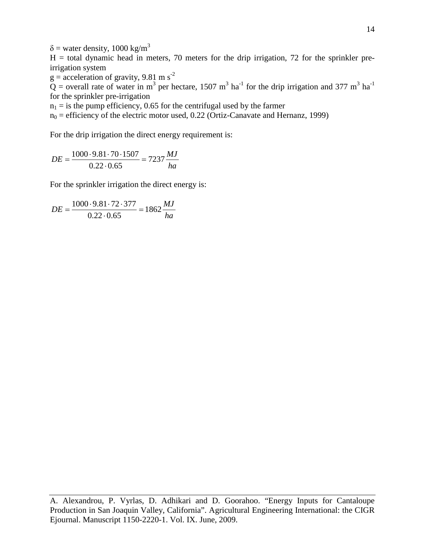$\delta$  = water density, 1000 kg/m<sup>3</sup>

 $H =$  total dynamic head in meters, 70 meters for the drip irrigation, 72 for the sprinkler preirrigation system

 $g =$  acceleration of gravity, 9.81 m s<sup>-2</sup>

 $\overrightarrow{Q}$  = overall rate of water in m<sup>3</sup> per hectare, 1507 m<sup>3</sup> ha<sup>-1</sup> for the drip irrigation and 377 m<sup>3</sup> ha<sup>-1</sup> for the sprinkler pre-irrigation

 $n_1$  = is the pump efficiency, 0.65 for the centrifugal used by the farmer

 $n_0$  = efficiency of the electric motor used, 0.22 (Ortiz-Canavate and Hernanz, 1999)

For the drip irrigation the direct energy requirement is:

$$
DE = \frac{1000 \cdot 9.81 \cdot 70 \cdot 1507}{0.22 \cdot 0.65} = 7237 \frac{MJ}{ha}
$$

For the sprinkler irrigation the direct energy is:

$$
DE = \frac{1000 \cdot 9.81 \cdot 72 \cdot 377}{0.22 \cdot 0.65} = 1862 \frac{MJ}{ha}
$$

A. Alexandrou, P. Vyrlas, D. Adhikari and D. Goorahoo. "Energy Inputs for Cantaloupe Production in San Joaquin Valley, California". Agricultural Engineering International: the CIGR Ejournal. Manuscript 1150-2220-1. Vol. IX. June, 2009.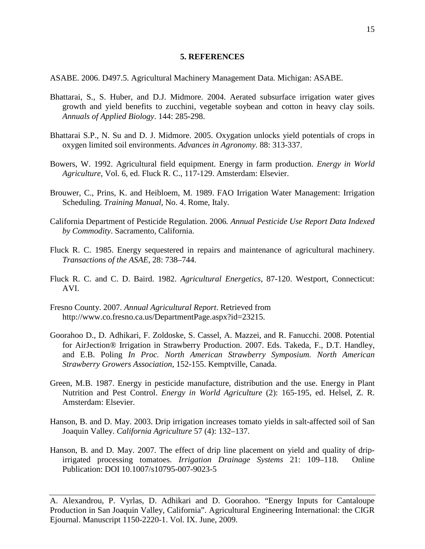### **5. REFERENCES**

ASABE. 2006. D497.5. Agricultural Machinery Management Data. Michigan: ASABE.

- Bhattarai, S., S. Huber, and D.J. Midmore. 2004. Aerated subsurface irrigation water gives growth and yield benefits to zucchini, vegetable soybean and cotton in heavy clay soils. *Annuals of Applied Biology*. 144: 285-298.
- Bhattarai S.P., N. Su and D. J. Midmore. 2005. Oxygation unlocks yield potentials of crops in oxygen limited soil environments. *Advances in Agronomy*. 88: 313-337.
- Bowers, W. 1992. Agricultural field equipment. Energy in farm production. *Energy in World Agriculture*, Vol. 6, ed. Fluck R. C., 117-129. Amsterdam: Elsevier.
- Brouwer, C., Prins, K. and Heibloem, M. 1989. FAO Irrigation Water Management: Irrigation Scheduling. *Training Manual*, No. 4. Rome, Italy.
- California Department of Pesticide Regulation. 2006*. Annual Pesticide Use Report Data Indexed by Commodity*. Sacramento, California.
- Fluck R. C. 1985. Energy sequestered in repairs and maintenance of agricultural machinery. *Transactions of the ASAE,* 28: 738–744.
- Fluck R. C. and C. D. Baird. 1982. *Agricultural Energetics*, 87-120. Westport, Connecticut: AVI.
- Fresno County. 2007. *Annual Agricultural Report*. Retrieved from http://www.co.fresno.ca.us/DepartmentPage.aspx?id=23215.
- Goorahoo D., D. Adhikari, F. Zoldoske, S. Cassel, A. Mazzei, and R. Fanucchi. 2008. Potential for AirJection® Irrigation in Strawberry Production. 2007. Eds. Takeda, F., D.T. Handley, and E.B. Poling *In Proc. North American Strawberry Symposium. North American Strawberry Growers Association*, 152-155. Kemptville, Canada.
- Green, M.B. 1987. Energy in pesticide manufacture, distribution and the use. Energy in Plant Nutrition and Pest Control. *Energy in World Agriculture* (2): 165-195, ed. Helsel, Z. R. Amsterdam: Elsevier.
- Hanson, B. and D. May. 2003. Drip irrigation increases tomato yields in salt-affected soil of San Joaquin Valley. *California Agriculture* 57 (4): 132–137.
- Hanson, B. and D. May. 2007. The effect of drip line placement on yield and quality of dripirrigated processing tomatoes. *Irrigation Drainage Systems* 21: 109–118. Online Publication: DOI 10.1007/s10795-007-9023-5

A. Alexandrou, P. Vyrlas, D. Adhikari and D. Goorahoo. "Energy Inputs for Cantaloupe Production in San Joaquin Valley, California". Agricultural Engineering International: the CIGR Ejournal. Manuscript 1150-2220-1. Vol. IX. June, 2009.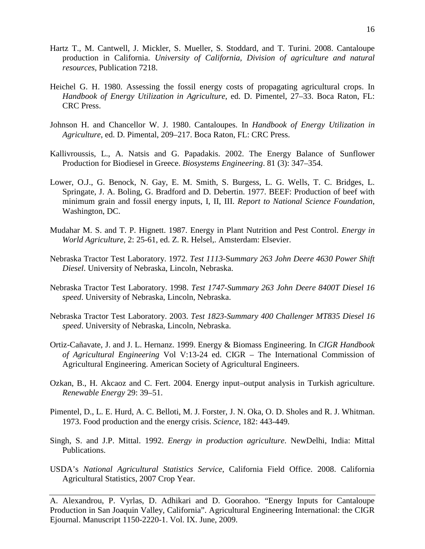- Hartz T., M. Cantwell, J. Mickler, S. Mueller, S. Stoddard, and T. Turini. 2008. Cantaloupe production in California. *University of California, Division of agriculture and natural resources*, Publication 7218.
- Heichel G. H. 1980. Assessing the fossil energy costs of propagating agricultural crops. In *Handbook of Energy Utilization in Agriculture*, ed. D. Pimentel, 27–33. Boca Raton, FL: CRC Press.
- Johnson H. and Chancellor W. J. 1980. Cantaloupes. In *Handbook of Energy Utilization in Agriculture*, ed. D. Pimental, 209–217. Boca Raton, FL: CRC Press.
- Kallivroussis, L., A. Natsis and G. Papadakis. 2002. The Energy Balance of Sunflower Production for Biodiesel in Greece. *Biosystems Engineering*. 81 (3): 347–354.
- Lower, O.J., G. Benock, N. Gay, E. M. Smith, S. Burgess, L. G. Wells, T. C. Bridges, L. Springate, J. A. Boling, G. Bradford and D. Debertin. 1977. BEEF: Production of beef with minimum grain and fossil energy inputs, I, II, III. *Report to National Science Foundation*, Washington, DC.
- Mudahar M. S. and T. P. Hignett. 1987. Energy in Plant Nutrition and Pest Control. *Energy in World Agriculture*, 2: 25-61, ed. Z. R. Helsel,. Amsterdam: Elsevier.
- Nebraska Tractor Test Laboratory. 1972. *Test 1113-*S*ummary 263 John Deere 4630 Power Shift Diesel*. University of Nebraska, Lincoln, Nebraska.
- Nebraska Tractor Test Laboratory. 1998. *Test 1747-Summary 263 John Deere 8400T Diesel 16 speed*. University of Nebraska, Lincoln, Nebraska.
- Nebraska Tractor Test Laboratory. 2003. *Test 1823-Summary 400 Challenger MT835 Diesel 16 speed*. University of Nebraska, Lincoln, Nebraska.
- Ortiz-Cañavate, J. and J. L. Hernanz. 1999. Energy & Biomass Engineering. In *CIGR Handbook of Agricultural Engineering* Vol V:13-24 ed. CIGR – The International Commission of Agricultural Engineering. American Society of Agricultural Engineers.
- Ozkan, B., H. Akcaoz and C. Fert. 2004. Energy input–output analysis in Turkish agriculture. *Renewable Energy* 29: 39–51.
- Pimentel, D., L. E. Hurd, A. C. Belloti, M. J. Forster, J. N. Oka, O. D. Sholes and R. J. Whitman. 1973. Food production and the energy crisis. *Science*, 182: 443-449.
- Singh, S. and J.P. Mittal. 1992. *Energy in production agriculture*. NewDelhi, India: Mittal Publications.
- USDA's *National Agricultural Statistics Service*, California Field Office. 2008. California Agricultural Statistics, 2007 Crop Year.

A. Alexandrou, P. Vyrlas, D. Adhikari and D. Goorahoo. "Energy Inputs for Cantaloupe Production in San Joaquin Valley, California". Agricultural Engineering International: the CIGR Ejournal. Manuscript 1150-2220-1. Vol. IX. June, 2009.